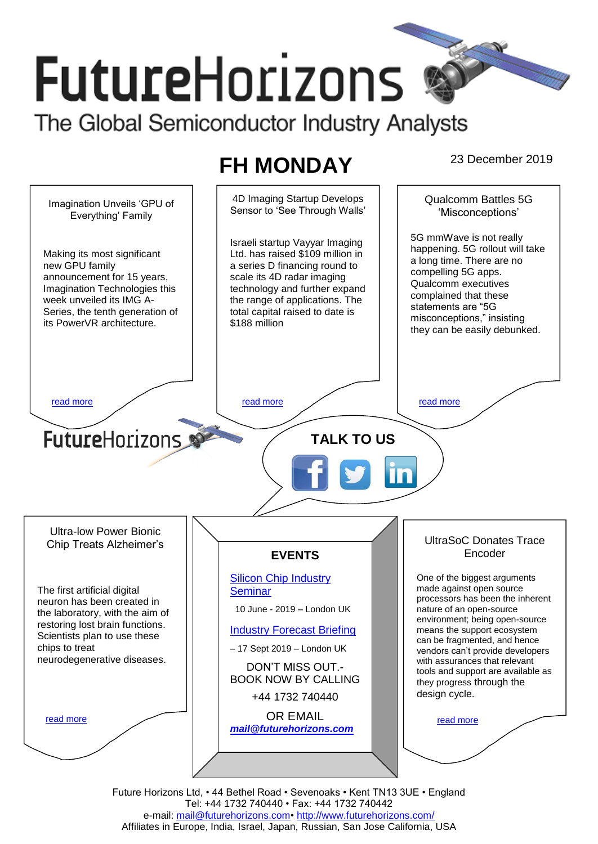# **FutureHorizons**

The Global Semiconductor Industry Analysts

## **FH MONDAY** 23 December 2019



Tel: +44 1732 740440 • Fax: +44 1732 740442 e-mail: [mail@futurehorizons.com•](../FH%20Monday%20-%202017/mail@futurehorizons.com)<http://www.futurehorizons.com/> Affiliates in Europe, India, Israel, Japan, Russian, San Jose California, USA